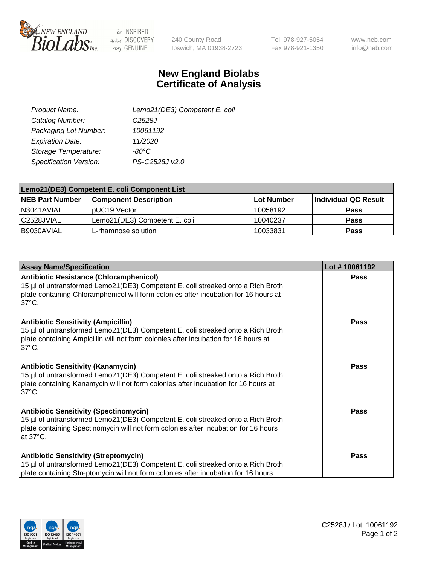

 $be$  INSPIRED drive DISCOVERY stay GENUINE

240 County Road Ipswich, MA 01938-2723 Tel 978-927-5054 Fax 978-921-1350

www.neb.com info@neb.com

## **New England Biolabs Certificate of Analysis**

| Lemo21(DE3) Competent E. coli |
|-------------------------------|
| C <sub>2528</sub> J           |
| 10061192                      |
| 11/2020                       |
| $-80^{\circ}$ C               |
| PS-C2528J v2.0                |
|                               |

| Lemo21(DE3) Competent E. coli Component List |                               |            |                      |  |
|----------------------------------------------|-------------------------------|------------|----------------------|--|
| <b>NEB Part Number</b>                       | <b>Component Description</b>  | Lot Number | Individual QC Result |  |
| I N3041AVIAL                                 | IpUC19 Vector                 | 10058192   | <b>Pass</b>          |  |
| l C2528JVIAL                                 | Lemo21(DE3) Competent E. coli | 10040237   | <b>Pass</b>          |  |
| B9030AVIAL                                   | L-rhamnose solution           | 10033831   | <b>Pass</b>          |  |

| <b>Assay Name/Specification</b>                                                                                                                                                                                                              | Lot #10061192 |
|----------------------------------------------------------------------------------------------------------------------------------------------------------------------------------------------------------------------------------------------|---------------|
| <b>Antibiotic Resistance (Chloramphenicol)</b><br>15 µl of untransformed Lemo21(DE3) Competent E. coli streaked onto a Rich Broth<br>plate containing Chloramphenicol will form colonies after incubation for 16 hours at<br>$37^{\circ}$ C. | <b>Pass</b>   |
| <b>Antibiotic Sensitivity (Ampicillin)</b><br>15 µl of untransformed Lemo21(DE3) Competent E. coli streaked onto a Rich Broth<br>plate containing Ampicillin will not form colonies after incubation for 16 hours at<br>$37^{\circ}$ C.      | Pass          |
| <b>Antibiotic Sensitivity (Kanamycin)</b><br>15 µl of untransformed Lemo21(DE3) Competent E. coli streaked onto a Rich Broth<br>plate containing Kanamycin will not form colonies after incubation for 16 hours at<br>$37^{\circ}$ C.        | <b>Pass</b>   |
| <b>Antibiotic Sensitivity (Spectinomycin)</b><br>15 µl of untransformed Lemo21(DE3) Competent E. coli streaked onto a Rich Broth<br>plate containing Spectinomycin will not form colonies after incubation for 16 hours<br>at 37°C.          | <b>Pass</b>   |
| <b>Antibiotic Sensitivity (Streptomycin)</b><br>15 µl of untransformed Lemo21(DE3) Competent E. coli streaked onto a Rich Broth<br>plate containing Streptomycin will not form colonies after incubation for 16 hours                        | <b>Pass</b>   |